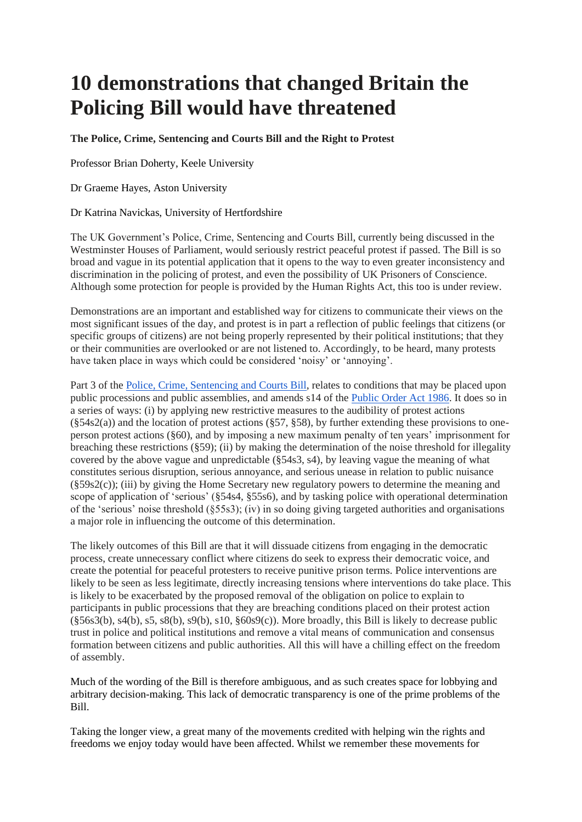# **10 demonstrations that changed Britain the Policing Bill would have threatened**

## **The Police, Crime, Sentencing and Courts Bill and the Right to Protest**

Professor Brian Doherty, Keele University

Dr Graeme Hayes, Aston University

### Dr Katrina Navickas, University of Hertfordshire

The UK Government's Police, Crime, Sentencing and Courts Bill, currently being discussed in the Westminster Houses of Parliament, would seriously restrict peaceful protest if passed. The Bill is so broad and vague in its potential application that it opens to the way to even greater inconsistency and discrimination in the policing of protest, and even the possibility of UK Prisoners of Conscience. Although some protection for people is provided by the Human Rights Act, this too is under review.

Demonstrations are an important and established way for citizens to communicate their views on the most significant issues of the day, and protest is in part a reflection of public feelings that citizens (or specific groups of citizens) are not being properly represented by their political institutions; that they or their communities are overlooked or are not listened to. Accordingly, to be heard, many protests have taken place in ways which could be considered 'noisy' or 'annoying'.

Part 3 of the [Police, Crime, Sentencing and Courts Bill,](https://publications.parliament.uk/pa/bills/cbill/58-01/0268/200268.pdf) relates to conditions that may be placed upon public processions and public assemblies, and amends s14 of the [Public Order Act 1986.](https://www.legislation.gov.uk/ukpga/1986/64) It does so in a series of ways: (i) by applying new restrictive measures to the audibility of protest actions  $(\xi$ 54s2(a)) and the location of protest actions ( $\xi$ 57,  $\xi$ 58), by further extending these provisions to oneperson protest actions (§60), and by imposing a new maximum penalty of ten years' imprisonment for breaching these restrictions (§59); (ii) by making the determination of the noise threshold for illegality covered by the above vague and unpredictable (§54s3, s4), by leaving vague the meaning of what constitutes serious disruption, serious annoyance, and serious unease in relation to public nuisance (§59s2(c)); (iii) by giving the Home Secretary new regulatory powers to determine the meaning and scope of application of 'serious' (§54s4, §55s6), and by tasking police with operational determination of the 'serious' noise threshold (§55s3); (iv) in so doing giving targeted authorities and organisations a major role in influencing the outcome of this determination.

The likely outcomes of this Bill are that it will dissuade citizens from engaging in the democratic process, create unnecessary conflict where citizens do seek to express their democratic voice, and create the potential for peaceful protesters to receive punitive prison terms. Police interventions are likely to be seen as less legitimate, directly increasing tensions where interventions do take place. This is likely to be exacerbated by the proposed removal of the obligation on police to explain to participants in public processions that they are breaching conditions placed on their protest action  $(\S 56s3(b), s4(b), s5, s8(b), s9(b), s10, \S 60s9(c))$ . More broadly, this Bill is likely to decrease public trust in police and political institutions and remove a vital means of communication and consensus formation between citizens and public authorities. All this will have a chilling effect on the freedom of assembly.

Much of the wording of the Bill is therefore ambiguous, and as such creates space for lobbying and arbitrary decision-making. This lack of democratic transparency is one of the prime problems of the Bill.

Taking the longer view, a great many of the movements credited with helping win the rights and freedoms we enjoy today would have been affected. Whilst we remember these movements for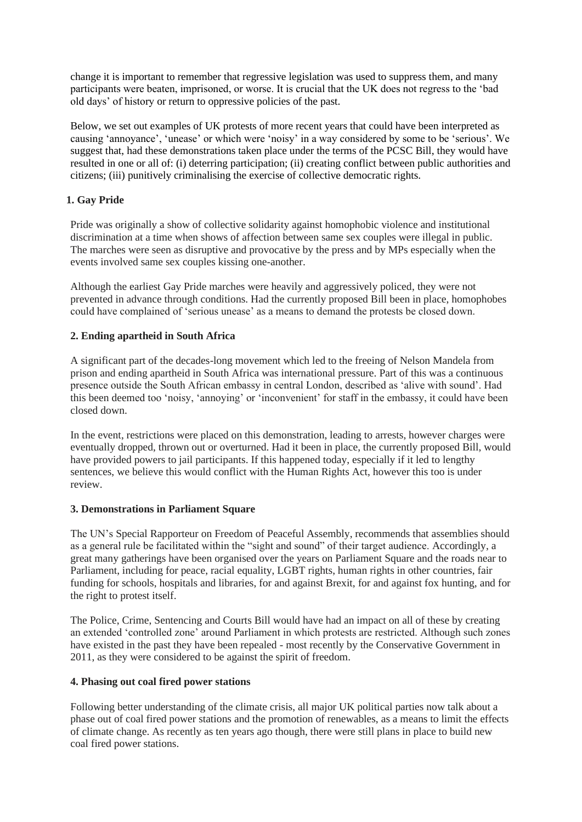change it is important to remember that regressive legislation was used to suppress them, and many participants were beaten, imprisoned, or worse. It is crucial that the UK does not regress to the 'bad old days' of history or return to oppressive policies of the past.

Below, we set out examples of UK protests of more recent years that could have been interpreted as causing 'annoyance', 'unease' or which were 'noisy' in a way considered by some to be 'serious'. We suggest that, had these demonstrations taken place under the terms of the PCSC Bill, they would have resulted in one or all of: (i) deterring participation; (ii) creating conflict between public authorities and citizens; (iii) punitively criminalising the exercise of collective democratic rights.

# **1. Gay Pride**

Pride was originally a show of collective solidarity against homophobic violence and institutional discrimination at a time when shows of affection between same sex couples were illegal in public. The marches were seen as disruptive and provocative by the press and by MPs especially when the events involved same sex couples kissing one-another.

Although the earliest Gay Pride marches were heavily and aggressively policed, they were not prevented in advance through conditions. Had the currently proposed Bill been in place, homophobes could have complained of 'serious unease' as a means to demand the protests be closed down.

## **2. Ending apartheid in South Africa**

A significant part of the decades-long movement which led to the freeing of Nelson Mandela from prison and ending apartheid in South Africa was international pressure. Part of this was a continuous presence outside the South African embassy in central London, described as 'alive with sound'. Had this been deemed too 'noisy, 'annoying' or 'inconvenient' for staff in the embassy, it could have been closed down.

In the event, restrictions were placed on this demonstration, leading to arrests, however charges were eventually dropped, thrown out or overturned. Had it been in place, the currently proposed Bill, would have provided powers to jail participants. If this happened today, especially if it led to lengthy sentences, we believe this would conflict with the Human Rights Act, however this too is under review.

### **3. Demonstrations in Parliament Square**

The UN's Special Rapporteur on Freedom of Peaceful Assembly, recommends that assemblies should as a general rule be facilitated within the "sight and sound" of their target audience. Accordingly, a great many gatherings have been organised over the years on Parliament Square and the roads near to Parliament, including for peace, racial equality, LGBT rights, human rights in other countries, fair funding for schools, hospitals and libraries, for and against Brexit, for and against fox hunting, and for the right to protest itself.

The Police, Crime, Sentencing and Courts Bill would have had an impact on all of these by creating an extended 'controlled zone' around Parliament in which protests are restricted. Although such zones have existed in the past they have been repealed - most recently by the Conservative Government in 2011, as they were considered to be against the spirit of freedom.

### **4. Phasing out coal fired power stations**

Following better understanding of the climate crisis, all major UK political parties now talk about a phase out of coal fired power stations and the promotion of renewables, as a means to limit the effects of climate change. As recently as ten years ago though, there were still plans in place to build new coal fired power stations.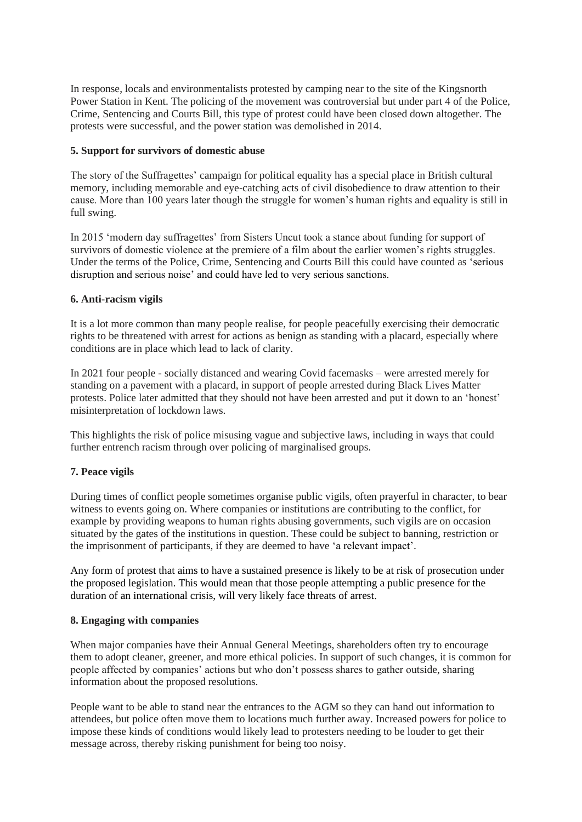In response, locals and environmentalists protested by camping near to the site of the Kingsnorth Power Station in Kent. The policing of the movement was controversial but under part 4 of the Police, Crime, Sentencing and Courts Bill, this type of protest could have been closed down altogether. The protests were successful, and the power station was demolished in 2014.

## **5. Support for survivors of domestic abuse**

The story of the Suffragettes' campaign for political equality has a special place in British cultural memory, including memorable and eye-catching acts of civil disobedience to draw attention to their cause. More than 100 years later though the struggle for women's human rights and equality is still in full swing.

In 2015 'modern day suffragettes' from Sisters Uncut took a stance about funding for support of survivors of domestic violence at the premiere of a film about the earlier women's rights struggles. Under the terms of the Police, Crime, Sentencing and Courts Bill this could have counted as 'serious disruption and serious noise' and could have led to very serious sanctions.

## **6. Anti-racism vigils**

It is a lot more common than many people realise, for people peacefully exercising their democratic rights to be threatened with arrest for actions as benign as standing with a placard, especially where conditions are in place which lead to lack of clarity.

In 2021 four people - socially distanced and wearing Covid facemasks – were arrested merely for standing on a pavement with a placard, in support of people arrested during Black Lives Matter protests. Police later admitted that they should not have been arrested and put it down to an 'honest' misinterpretation of lockdown laws.

This highlights the risk of police misusing vague and subjective laws, including in ways that could further entrench racism through over policing of marginalised groups.

# **7. Peace vigils**

During times of conflict people sometimes organise public vigils, often prayerful in character, to bear witness to events going on. Where companies or institutions are contributing to the conflict, for example by providing weapons to human rights abusing governments, such vigils are on occasion situated by the gates of the institutions in question. These could be subject to banning, restriction or the imprisonment of participants, if they are deemed to have 'a relevant impact'.

Any form of protest that aims to have a sustained presence is likely to be at risk of prosecution under the proposed legislation. This would mean that those people attempting a public presence for the duration of an international crisis, will very likely face threats of arrest.

### **8. Engaging with companies**

When major companies have their Annual General Meetings, shareholders often try to encourage them to adopt cleaner, greener, and more ethical policies. In support of such changes, it is common for people affected by companies' actions but who don't possess shares to gather outside, sharing information about the proposed resolutions.

People want to be able to stand near the entrances to the AGM so they can hand out information to attendees, but police often move them to locations much further away. Increased powers for police to impose these kinds of conditions would likely lead to protesters needing to be louder to get their message across, thereby risking punishment for being too noisy.